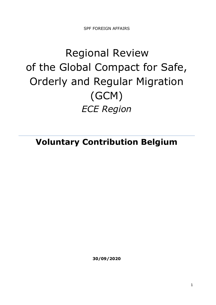SPF FOREIGN AFFAIRS

# Regional Review of the Global Compact for Safe, Orderly and Regular Migration (GCM) *ECE Region*

**Voluntary Contribution Belgium**

**30/09/2020**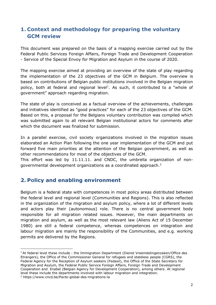# **1. Context and methodology for preparing the voluntary GCM review**

This document was prepared on the basis of a mapping exercise carried out by the Federal Public Services Foreign Affairs, Foreign Trade and Development Cooperation - Service of the Special Envoy for Migration and Asylum in the course of 2020.

The mapping exercise aimed at providing an overview of the state of play regarding the implementation of the 23 objectives of the GCM in Belgium. The overview is based on contributions of Belgian public institutions involved in the Belgian migration policy, both at federal and regional level<sup>1</sup>. As such, it contributed to a "whole of government" approach regarding migration.

The state of play is conceived as a factual overview of the achievements, challenges and initiatives identified as "good practices" for each of the 23 objectives of the GCM. Based on this, a proposal for the Belgians voluntary contribution was compiled which was submitted again to all relevant Belgian institutional actors for comments after which the document was finalized for submission.

In a parallel exercise, civil society organizations involved in the migration issues elaborated an Action Plan following the one year implementation of the GCM and put forward five main priorities at the attention of the Belgian government, as well as other recommendations for most of the objectives of the GCM.

This effort was led by 11.11.11. and CNDC, the umbrella organization of nongovernmental development organizations as a coordinated approach.<sup>2</sup>

# **2. Policy and enabling environment**

Belgium is a federal state with competences in most policy areas distributed between the federal level and regional level (Communities and Regions). This is also reflected in the organization of the migration and asylum policy, where a lot of different levels and actors play their (autonomous) role. There is no central government body responsible for all migration related issues. However, the main departments on migration and asylum, as well as the most relevant law (Aliens Act of 15 December 1980) are still a federal competence, whereas competences on integration and labour migration are mainly the responsibility of the Communities, and e.g. working permits are delivered by the Regions.

<sup>&</sup>lt;sup>1</sup> At federal level these include: the Immigration Department (Dienst Vreemdelingenzaken/Office des Etrangers), the Office of the Commissioner General for refugees and stateless people (CGRS), the Federal Agency for the Reception of Asylum seekers (Fedasil), the Office of the State Secretary for Migration and Asylum, the Federal Public Service Foreign Affairs, Foreign Trade and Development Cooperation and Enabel (Belgian Agency for Development Cooperation), among others. At regional level these include the departments involved with labour migration and integration. <sup>2</sup> https://www.cncd.be/Pacte-global-des-migrations-la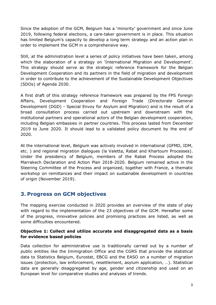Since the adoption of the GCM, Belgium has a 'minority' government and since June 2019, following federal elections, a care-taker government is in place. This situation has limited Belgium's capacity to develop a long term strategy and an action plan in order to implement the GCM in a comprehensive way.

Still, at the administration level a series of policy initiatives have been taken, among which the elaboration of a strategy on 'International Migration and Development'. This strategy should serve as the strategic reference framework for the Belgian Development Cooperation and its partners in the field of migration and development in order to contribute to the achievement of the Sustainable Development Objectives (SDOs) of Agenda 2030.

A first draft of this strategy reference framework was prepared by the FPS Foreign Affairs, Development Cooperation and Foreign Trade (Directorate General Development (DGD) - Special Envoy for Asylum and Migration) and is the result of a broad consultation process carried out upstream and downstream with the institutional partners and operational actors of the Belgian development cooperation, including Belgian embassies in partner countries. This process lasted from December 2019 to June 2020. It should lead to a validated policy document by the end of 2020.

At the international level, Belgium was actively involved in international (GFMD, IDM, etc. ) and regional migration dialogues (la Valetta, Rabat and Khartoum Processes). Under the presidency of Belgium, members of the Rabat Process adopted the Marrakech Declaration and Action Plan 2018-2020. Belgium remained active in the Steering Committee of the Process and organized, together with France, a thematic workshop on remittances and their impact on sustainable development in countries of origin (November 2019).

# **3. Progress on GCM objectives**

The mapping exercise conducted in 2020 provides an overview of the state of play with regard to the implementation of the 23 objectives of the GCM. Hereafter some of the progress, innovative policies and promising practices are listed, as well as some difficulties encountered.

### **Objective 1: Collect and utilize accurate and disaggregated data as a basis for evidence based policies**

Data collection for administrative use is traditionally carried out by a number of public entities like the Immigration Office and the CGRS that provide the statistical data to Statistics Belgium, Eurostat, EBCG and the EASO on a number of migration issues (protection, law enforcement, resettlement, asylum application, …). Statistical data are generally disaggregated by age, gender and citizenship and used on an European level for comparative studies and analyses of trends.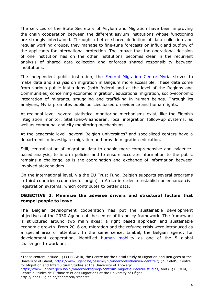The services of the State Secretary of Asylum and Migration have been improving the chain cooperation between the different asylum institutions whose functioning are strongly intertwined. Through a better shared definition of data collection and regular working groups, they manage to fine-tune forecasts on influx and outflow of the applicants for international protection. The impact that the operational decision of one institution has on the other institutions becomes clear in the recurrent analysis of shared data collection and enforces shared responsibility between institutions.

The independent public institution, the [Federal Migration Centre Myria](https://www.myria.be/en) strives to make data and analysis on migration in Belgium more accessible. These data come from various public institutions (both federal and at the level of the Regions and Communities) concerning economic migration, educational migration, socio-economic integration of migrants, smuggling and trafficking in human beings. Through its analyses, Myria promotes public policies based on evidence and human rights.

At regional level, several statistical monitoring mechanisms exist, like the [Flemish](https://samenleven-in-diversiteit.vlaanderen.be/)  [integration monitor,](https://samenleven-in-diversiteit.vlaanderen.be/) [Statistiek-Vlaanderen,](https://www.vlaanderen.be/publicaties/vlaamse-migratie-en-integratiemonitor-2018) local integration follow-up systems, as well as communal and city monitoring mechanisms.

At the academic level, several Belgian universities<sup>3</sup> and specialized centers have a department to investigate migration and provide migration education.

Still, centralization of migration data to enable more comprehensive and evidencebased analysis, to inform policies and to ensure accurate information to the public remains a challenge*;* as is the coordination and exchange of information between involved stakeholders.

On the international level, via the EU Trust Fund, Belgian supports several programs in third countries (countries of origin) in Africa in order to establish or enhance civil registration systems, which contributes to better data.

### **OBJECTIVE 2: Minimize the adverse drivers and structural factors that compel people to leave**

The Belgian development cooperation has put the sustainable development objectives of the 2030 Agenda at the center of its policy framework. The framework is structured around two main axes: a right based approach and sustainable economic growth. From 2016 on, migration and the refugee crisis were introduced as a special area of attention. In the same sense, Enabel, the Belgian agency for development cooperation, identified **[human mobility](https://www.enabel.be/content/title-31)** as one of the 5 global challenges to work on.

```
https://www.uantwerpen.be/nl/onderzoeksgroep/centrum-migratie-intercul-studies/ and (3) CEDEM, 
Centre d'Etudes de l'Ethnicité et des Migrations at the University of Liège:
```
http://labos.ulg.ac.be/cedem/en/research

<sup>3</sup> These centers include : (1) CESSMIR, the Centre for the Social Study of Migration and Refugees at the University of Ghent, [https://www.ugent.be/cessmir/nl/onderzoeksthemas/identiteit;](https://www.ugent.be/cessmir/nl/onderzoeksthemas/identiteit) (2) CeMIS, Centre for Migration and Intercultural Studies at the University of Antwerp: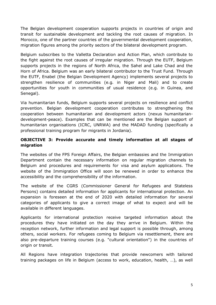The Belgian development cooperation supports projects in countries of origin and transit for sustainable development and tackling the root causes of migration. In Morocco, one of the partner countries of the governmental development cooperation, migration figures among the priority sectors of the bilateral development program.

Belgium subscribes to the Valletta Declaration and Action Plan, which contribute to the fight against the root causes of irregular migration. Through the EUTF, Belgium supports projects in the regions of North Africa, the Sahel and Lake Chad and the Horn of Africa. Belgium was an early bilateral contributor to the Trust Fund. Through the EUTF, Enabel (the Belgian Development Agency) implements several projects to strengthen resilience of communities (e.g. in Niger and Mali) and to create opportunities for youth in communities of usual residence (e.g. in Guinea, and Senegal).

Via humanitarian funds, Belgium supports several projects on resilience and conflict prevention. Belgian development cooperation contributes to strengthening the cooperation between humanitarian and development actors (nexus humanitariandevelopment-peace). Examples that can be mentioned are the Belgian support of humanitarian organisations (ICRC, UNRWA) and the MADAD funding (specifically a professional training program for migrants in Jordania).

## **OBJECTIVE 3: Provide accurate and timely information at all stages of migration**

The websites of the FPS Foreign Affairs, the Belgian embassies and the Immigration Department contain the necessary information on regular migration channels to Belgium and procedures and requirements for visa and asylum applications. The website of the Immigration Office will soon be renewed in order to enhance the accessibility and the comprehensibility of the information.

The website of the CGRS (Commissioner General for Refugees and Stateless Persons) contains detailed information for applicants for international protection. An expansion is foreseen at the end of 2020 with detailed information for several categories of applicants to give a correct image of what to expect and will be available in different languages.

Applicants for international protection receive targeted information about the procedures they have initiated on the day they arrive in Belgium. Within the reception network, further information and legal support is possible through, among others, social workers. For refugees coming to Belgium via resettlement, there are also pre-departure training courses (e.g. "cultural orientation") in the countries of origin or transit.

All Regions have integration trajectories that provide newcomers with tailored training packages on life in Belgium (access to work, education, health, …), as well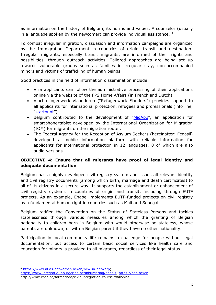as information on the history of Belgium, its norms and values. A counselor (usually in a language spoken by the newcomer) can provide individual assistance. <sup>4</sup>

To combat irregular migration, dissuasion and information campaigns are organized by the Immigration Department in countries of origin, transit and destination. Irregular migrants, especially transit migrants, are informed of their rights and possibilities, through outreach activities. Tailored approaches are being set up towards vulnerable groups such as families in irregular stay, non-accompanied minors and victims of trafficking of human beings.

Good practices in the field of information dissemination include:

- Visa applicants can follow the administrative processing of their applications online via the website of the FPS Home Affairs (in French and Dutch).
- Vluchtelingenwerk Vlaanderen ("Refugeework Flanders") provides support to all applicants for international protection, refugees and professionals (info line, "[startpunt](https://www.vluchtelingenwerk.be/startpunt)").
- Belgium contributed to the development of ["MigApp"](https://www.iom.int/migapp), an application for smartphone/tablet developed by the International Organization for Migration (IOM) for migrants on the migration route .
- The Federal Agency for the Reception of Asylum Seekers (hereinafter: Fedasil) developed a mobile information platform with reliable information for applicants for international protection in 12 languages, 8 of which are also audio versions.

## **OBJECTIVE 4: Ensure that all migrants have proof of legal identity and adequate documentation**

Belgium has a highly developed civil registry system and issues all relevant identity and civil registry documents (among which birth, marriage and death certificates) to all of its citizens in a secure way. It supports the establishment or enhancement of civil registry systems in countries of origin and transit, including through EUTF projects. As an example, Enabel implements EUTF-funded projects on civil registry as a fundamental human right in countries such as Mali and Senegal.

Belgium ratified the Convention on the Status of Stateless Persons and tackles statelessness through various measures among which the granting of Belgian nationality to children born in Belgium who would otherwise be stateless, whose parents are unknown, or with a Belgian parent if they have no other nationality.

Participation in local community life remains a challenge for people without legal documentation, but access to certain basic social services like health care and education for minors is provided to all migrants, regardless of their legal status.

<sup>4</sup> [https://www.atlas-antwerpen.be/en/new-in-antwerp;](https://www.atlas-antwerpen.be/en/new-in-antwerp)

[https://www.integratie-inburgering.be/inburgering/engels;](https://www.integratie-inburgering.be/inburgering/engels) [https://bon.be/en;](https://bon.be/en)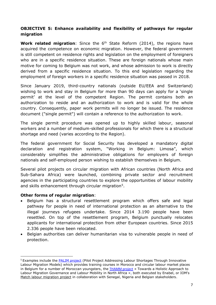## **OBJECTIVE 5: Enhance availability and flexibility of pathways for regular migration**

**Work related migration**: Since the 6<sup>th</sup> State Reform (2014), the regions have acquired the competence on economic migration. However, the federal government is still competent on residence rights and legislation on the employment of foreigners who are in a specific residence situation. These are foreign nationals whose main motive for coming to Belgium was not work, and whose admission to work is directly derived from a specific residence situation. To this end legislation regarding the employment of foreign workers in a specific residence situation was passed in 2018.

Since January 2019, third-country nationals (outside EU/EEA and Switzerland) wishing to work and stay in Belgium for more than 90 days can apply for a 'single permit' at the level of the competent Region. The permit contains both an authorization to reside and an authorization to work and is valid for the whole country. Consequently, paper work permits will no longer be issued. The residence document ("single permit") will contain a reference to the authorization to work.

The single permit procedure was opened up to highly skilled labour, seasonal workers and a number of medium-skilled professionals for which there is a structural shortage and need (varies according to the Region).

The federal government for Social Security has developed a mandatory digital declaration and registration system, "Working in Belgium: Limosa", which considerably simplifies the administrative obligations for employers of foreign nationals and self-employed person wishing to establish themselves in Belgium.

Several pilot projects on circular migration with African countries (North Africa and Sub-Sahara Africa) were launched, combining private sector and recruitment agencies in the participating countries to explore the opportunities of labour mobility and skills enhancement through circular migration<sup>5</sup>.

#### **Other forms of regular migration**:

- Belgium has a structural resettlement program which offers safe and legal pathway for people in need of international protection as an alternative to the illegal journeys refugees undertake. Since 2014 3.190 people have been resettled. On top of the resettlement program, Belgium punctually relocates applicants for international protection from other European countries. Since 2015 2.336 people have been relocated.
- Belgian authorities can deliver humanitarian visa to vulnerable people in need of protection.

<sup>5</sup> Examples include the [PALIM project](https://www.enabel.be/content/palim-european-pilot-project-linking-moroccan-ict-development-and-labour-shortages-flanders) (Pilot Project Addressing Labour Shortages Through Innovative Labour Migration Models) which provides training courses in Morocco and circular labour market places in Belgium for a number of Moroccan youngsters, the [THAMM project](https://ec.europa.eu/trustfundforafrica/region/north-africa/regional/towards-holistic-approach-labour-migration-governance-and-labour_en) « Towards a Holistic Approach to Labour Migration Governance and Labour Mobility in North Africa », both executed by Enabel, or IOM's [Match labour migration project](https://belgium.iom.int/match) in collaboration with Senegal, Nigeria and Belgian stakeholders.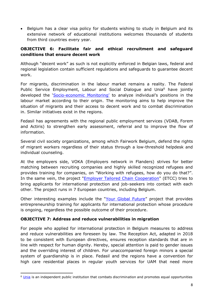• Belgium has a clear visa policy for students wishing to study in Belgium and its extensive network of educational institutions welcomes thousands of students from third countries every year.

## **OBJECTIVE 6: Facilitate fair and ethical recruitment and safeguard conditions that ensure decent work**

Although "decent work" as such is not explicitly enforced in Belgian laws, federal and regional legislation contain sufficient regulations and safeguards to guarantee decent work.

For migrants, discrimination in the labour market remains a reality. The Federal Public Service Employment, Labour and Social Dialogue and Unia<sup>6</sup> have jointly developed the 'Socio-[economic Monitoring'](https://werk.belgie.be/nl/publicaties/4th-socio-economic-monitoring-labour-market-and-origin-2019) to analyze individual's positions in the labour market according to their origin. The monitoring aims to help improve the situation of migrants and their access to decent work and to combat discrimination in. Similar initiatives exist in the regions.

Fedasil has agreements with the regional public employment services (VDAB, Forem and Actiris) to strengthen early assessment, referral and to improve the flow of information.

Several civil society organizations, among which Fairwork Belgium, defend the rights of migrant workers regardless of their status through a low-threshold helpdesk and individual counseling.

At the employers side, VOKA (Employers network in Flanders) strives for better matching between recruiting companies and highly skilled recognized refugees and provides training for companies, on "Working with refugees, how do you do that?". In the same vein, the project ["Employer Tailored Chain Cooperation"](https://www.fedasil.be/en/news/awareness/launch-european-project-employment-applicants-international-protection) (ETCC) tries to bring applicants for international protection and job-seekers into contact with each other. The project runs in 7 European countries, including Belgium.

Other interesting examples include the "[Your Global Future](https://www.fedasil.be/nl/vrijwillige-terugkeer/projecten)" project that provides entrepreneurship training for applicants for international protection whose procedure is ongoing, regardless the possible outcome of their procedure.

### **OBJECTIVE 7: Address and reduce vulnerabilities in migration**

For people who applied for international protection in Belgium measures to address and reduce vulnerabilities are foreseen by law. The Reception Act, adapted in 2018 to be consistent with European directives, ensures reception standards that are in line with respect for human dignity. Hereby, special attention is paid to gender issues and the overriding interest of children. For unaccompanied foreign minors a special system of guardianship is in place. Fedasil and the regions have a convention for high care residential places in regular youth services for UAM that need more

<sup>&</sup>lt;sup>6</sup> [Unia](https://www.unia.be/en/about-unia) is an independent public institution that combats discrimination and promotes equal opportunities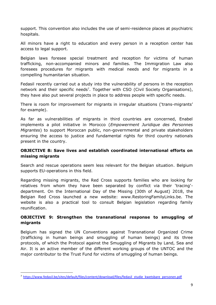support. This convention also includes the use of semi-residence places at psychiatric hospitals.

All minors have a right to education and every person in a reception center has access to legal support.

Belgian laws foresee special treatment and reception for victims of human trafficking, non-accompanied minors and families. The Immigration Law also foresees procedures for migrants with medical needs and for migrants in a compelling humanitarian situation.

Fedasil recently carried out a study into the vulnerability of persons in the reception network and their specific needs<sup>7</sup>. Together with CSO (Civil Society Organisations), they have also put several projects in place to address people with specific needs.

There is room for improvement for migrants in irregular situations ('trans-migrants' for example).

As far as vulnerabilities of migrants in third countries are concerned, Enabel implements a pilot initiative in Morocco (*Empowerment Juridique des Personnes Migrantes*) to support Moroccan public, non-governmental and private stakeholders ensuring the access to justice and fundamental rights for third country nationals present in the country.

## **OBJECTIVE 8: Save lives and establish coordinated international efforts on missing migrants**

Search and rescue operations seem less relevant for the Belgian situation. Belgium supports EU-operations in this field.

Regarding missing migrants, the Red Cross supports families who are looking for relatives from whom they have been separated by conflict via their 'tracing' department. On the International Day of the Missing (30th of August) 2018, the Belgian Red Cross launched a new website: www.RestoringFamilyLinks.be. The website is also a practical tool to consult Belgian legislation regarding family reunification.

## **OBJECTIVE 9: Strengthen the transnational response to smuggling of migrants**

Belgium has signed the UN Conventions against Transnational Organized Crime (trafficking in human beings and smuggling of human beings) and its three protocols, of which the Protocol against the Smuggling of Migrants by Land, Sea and Air. It is an active member of the different working groups of the UNTOC and the major contributor to the Trust Fund for victims of smuggling of human beings.

<sup>7</sup> [https://www.fedasil.be/sites/default/files/content/download/files/fedasil\\_studie\\_kwetsbare\\_personen.pdf](https://www.fedasil.be/sites/default/files/content/download/files/fedasil_studie_kwetsbare_personen.pdf)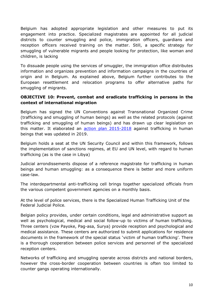Belgium has adopted appropriate legislation and other measures to put its engagement into practice. Specialized magistrates are appointed for all judicial districts to counter smuggling and police, immigration officers, guardians and reception officers received training on the matter. Still, a specific strategy for smuggling of vulnerable migrants and people looking for protection, like woman and children, is lacking

To dissuade people using the services of smuggler, the immigration office distributes information and organizes prevention and information campaigns in the countries of origin and in Belgium. As explained above, Belgium further contributes to the European resettlement and relocation programs to offer alternative paths for smuggling of migrants.

#### **OBJECTIVE 10: Prevent, combat and eradicate trafficking in persons in the context of international migration**

Belgium has signed the UN Conventions against Transnational Organized Crime (trafficking and smuggling of human beings) as well as the related protocols (against trafficking and smuggling of human beings) and has drawn up clear legislation on this matter. It elaborated an **[action plan 2015-2018](https://emnbelgium.be/sites/default/files/publications/actieplan_mensensmokkel_2015-18_nl.pdf)** against trafficking in human beings that was updated in 2019.

Belgium holds a seat at the UN Security Council and within this framework, follows the implementation of sanctions regimes, at EU and UN level, with regard to human trafficking (as is the case in Libya)

Judicial arrondissements dispose of a reference magistrate for trafficking in human beings and human smuggling: as a consequence there is better and more uniform case-law.

The interdepartmental anti-trafficking cell brings together specialized officials from the various competent government agencies on a monthly basis.

At the level of police services, there is the Specialized Human Trafficking Unit of the Federal Judicial Police.

Belgian policy provides, under certain conditions, legal and administrative support as well as psychological, medical and social follow-up to victims of human trafficking. Three centers (vzw Payoke, Pag-asa, Surya) provide reception and psychological and medical assistance. These centers are authorized to submit applications for residence documents in the framework of the special status 'victim of human trafficking'. There is a thorough cooperation between police services and personnel of the specialized reception centers.

Networks of trafficking and smuggling operate across districts and national borders, however the cross-border cooperation between countries is often too limited to counter gangs operating internationally.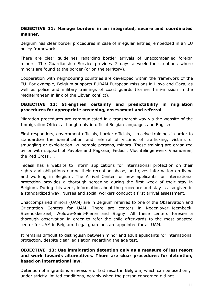#### **OBJECTIVE 11: Manage borders in an integrated, secure and coordinated manner.**

Belgium has clear border procedures in case of irregular entries, embedded in an EU policy framework.

There are clear guidelines regarding border arrivals of unaccompanied foreign minors. The Guardianship Service provides 7 days a week for situations where minors are found at the border (or on the territory).

Cooperation with neighbouring countries are developed within the framework of the EU. For example, Belgium supports EUBAM European missions in Libya and Gaza, as well as police and military trainings of coast guards (former Irini-mission in the Mediterranean in link of the Libyan conflict).

### **OBJECTIVE 12: Strengthen certainty and predictability in migration procedures for appropriate screening, assessment and referral**

Migration procedures are communicated in a transparent way via the website of the Immigration Office, although only in official Belgian languages and English.

First responders, government officials, border officials,… receive trainings in order to standardize the identification and referral of victims of trafficking, victims of smuggling or exploitation, vulnerable persons, minors. These training are organized by or with support of Payoke and Pag-asa, Fedasil, Vluchtelingenwerk Vlaanderen, the Red Cross ,…

Fedasil has a website to inform applications for international protection on their rights and obligations during their reception phase, and gives information on living and working in Belgium. The Arrival Center for new applicants for international protection provides a thorough screening during the first week of their stay in Belgium. During this week, information about the procedure and stay is also given in a standardized way. Nurses and social workers conduct a first arrival assessment.

Unaccompanied minors (UAM) are in Belgium referred to one of the Observation and Orientation Centers for UAM. There are centers in Neder-over-Heembeek, Steenokkerzeel, Woluwe-Saint-Pierre and Sugny. All these centers foresee a thorough observation in order to refer the child afterwards to the most adapted center for UAM in Belgium. Legal guardians are appointed for all UAM.

It remains difficult to distinguish between minor and adult applicants for international protection, despite clear legislation regarding the age test.

### **OBJECTIVE 13: Use immigration detention only as a measure of last resort and work towards alternatives. There are clear procedures for detention, based on international law.**

Detention of migrants is a measure of last resort in Belgium, which can be used only under strictly limited conditions, notably when the person concerned did not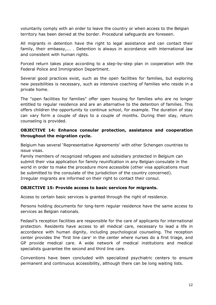voluntarily comply with an order to leave the country or when access to the Belgian territory has been denied at the border. Procedural safeguards are foreseen.

All migrants in detention have the right to legal assistance and can contact their family, their embassy,... . Detention is always in accordance with international law and consistent with human rights.

Forced return takes place according to a step-by-step plan in cooperation with the Federal Police and Immigration Department.

Several good practices exist, such as the open facilities for families, but exploring new possibilities is necessary, such as intensive coaching of families who reside in a private home.

The "open facilities for families" offer open housing for families who are no longer entitled to regular residence and are an alternative to the detention of families. This offers children the opportunity to continue school, for example. The duration of stay can vary form a couple of days to a couple of months. During their stay, return counseling is provided.

## **OBJECTIVE 14: Enhance consular protection, assistance and cooperation throughout the migration cycle.**

Belgium has several 'Representative Agreements' with other Schengen countries to issue visas.

Family members of recognized refugees and subsidiary protected in Belgium can submit their visa application for family reunification in any Belgian consulate in the world in order to make the procedure more accessible (other visa applications must be submitted to the consulate of the jurisdiction of the country concerned). Irregular migrants are informed on their right to contact their consul.

### **OBJECTIVE 15: Provide access to basic services for migrants.**

Access to certain basic services is granted through the right of residence.

Persons holding documents for long-term regular residence have the same access to services as Belgian nationals.

Fedasil's reception facilities are responsible for the care of applicants for international protection. Residents have access to all medical care, necessary to lead a life in accordance with human dignity, including psychological counseling. The reception center provides the 'first line care' in the center where nurses do a first triage, and GP provide medical care. A wide network of medical institutions and medical specialists guarantee the second and third line care.

Conventions have been concluded with specialized psychiatric centers to ensure permanent and continuous accessibility, although there can be long waiting lists.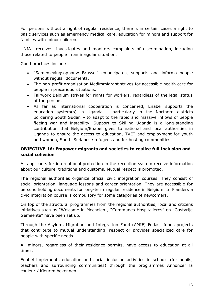For persons without a right of regular residence, there is in certain cases a right to basic services such as emergency medical care, education for minors and support for families with minor children.

UNIA receives, investigates and monitors complaints of discrimination, including those related to people in an irregular situation.

Good practices include :

- "Samenlevingsopbouw Brussel" emancipates, supports and informs people without regular documents.
- The non-profit organisation Medimmigrant strives for accessible health care for people in precarious situations.
- Fairwork Belgium strives for rights for workers, regardless of the legal status of the person.
- As far as international cooperation is concerned, Enabel supports the education system(s) in Uganda – particularly in the Northern districts bordering South Sudan – to adapt to the rapid and massive inflows of people fleeing war and instability. Support to Skilling Uganda is a long-standing contribution that Belgium/Enabel gives to national and local authorities in Uganda to ensure the access to education, TVET and employment for youth and women, South-Sudanese refugees and for hosting communities.

### **OBJECTIVE 16: Empower migrants and societies to realize full inclusion and social cohesion**

All applicants for international protection in the reception system receive information about our culture, traditions and customs. Mutual respect is promoted.

The regional authorities organize official civic integration courses. They consist of social orientation, language lessons and career orientation. They are accessible for persons holding documents for long-term regular residence in Belgium. In Flanders a civic integration course is compulsory for some categories of newcomers.

On top of the structural programmes from the regional authorities, local and citizens initiatives such as "Welcome in Mechelen , "Communes Hospitalières" en "Gastvrije Gemeente" have been set up.

Through the Asylum, Migration and Integration Fund (AMIF) Fedasil funds projects that contribute to mutual understanding, respect or provides specialized care for people with specific needs.

All minors, regardless of their residence permits, have access to education at all times.

Enabel implements education and social inclusion activities in schools (for pupils, teachers and surrounding communities) through the programmes Annoncer la couleur / Kleuren bekennen.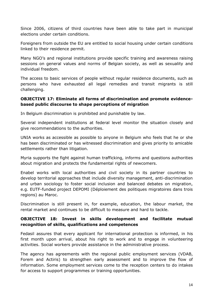Since 2006, citizens of third countries have been able to take part in municipal elections under certain conditions.

Foreigners from outside the EU are entitled to social housing under certain conditions linked to their residence permit.

Many NGO's and regional institutions provide specific training and awareness raising sessions on general values and norms of Belgian society, as well as sexuality and individual freedom.

The access to basic services of people without regular residence documents, such as persons who have exhausted all legal remedies and transit migrants is still challenging.

## **OBJECTIVE 17: Eliminate all forms of discrimination and promote evidencebased public discourse to shape perceptions of migration**

In Belgium discrimination is prohibited and punishable by law.

Several independent institutions at federal level monitor the situation closely and give recommendations to the authorities.

UNIA works as accessible as possible to anyone in Belgium who feels that he or she has been discriminated or has witnessed discrimination and gives priority to amicable settlements rather than litigation.

Myria supports the fight against human trafficking, informs and questions authorities about migration and protects the fundamental rights of newcomers.

Enabel works with local authorities and civil society in its partner countries to develop territorial approaches that include diversity management, anti-discrimination and urban sociology to foster social inclusion and balanced debates on migration, e.g. EUTF-funded project DEPOMI (Déploiement des politiques migratoires dans trois regions) au Maroc.

Discrimination is still present in, for example, education, the labour market, the rental market and continues to be difficult to measure and hard to tackle.

## **OBJECTIVE 18: Invest in skills development and facilitate mutual recognition of skills, qualifications and competences**

Fedasil assures that every applicant for international protection is informed, in his first month upon arrival, about his right to work and to engage in volunteering activities. Social workers provide assistance in the administrative process.

The agency has agreements with the regional public employment services (VDAB, Forem and Actiris) to strengthen early assessment and to improve the flow of information. Some employment services come to the reception centers to do intakes for access to support programmes or training opportunities.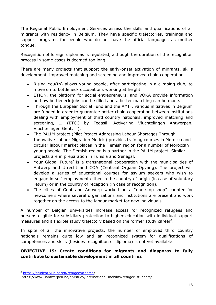The Regional Public Employment Services assess the skills and qualifications of all migrants with residency in Belgium. They have specific trajectories, trainings and support programs for people who do not have the official languages as mother tongue.

Recognition of foreign diplomas is regulated, although the duration of the recognition process in some cases is deemed too long.

There are many projects that support the early-onset activation of migrants, skills development, improved matching and screening and improved chain cooperation.

- Rising You(th) allows young people, after participating in a climbing club, to move on to bottleneck occupations working at height.
- ETION, the platform for social entrepreneurs, and VOKA provide information on how bottleneck jobs can be filled and a better matching can be made.
- Through the European Social Fund and the AMIF, various initiatives in Belgium are funded in order to guarantee better chain cooperation between institutions dealing with employment of third country nationals, improved matching and screening, … (ETCC by Fedasil, Activering Vluchtelingen Antwerpen, Vluchtelingen Gent, …).
- The PALIM project (Pilot Project Addressing Labour Shortages Through Innovative Labour Migration Models) provides training courses in Morocco and circular labour market places in the Flemish region for a number of Moroccan young people. The Flemish region is a partner in the PALIM project. Similar projects are in preparation in Tunisia and Senegal.
- Your Global Future' is a transnational cooperation with the municipalities of Antwerp and Utrecht and COA (Centraal Orgaan Opvang). The project will develop a series of educational courses for asylum seekers who wish to engage in self-employment either in the country of origin (in case of voluntary return) or in the country of reception (in case of recognition).
- The cities of Gent and Antwerp worked on a "one-stop-shop" counter for newcomers where several organizations and institutions are present and work together on the access to the labour market for new individuals.

A number of Belgian universities increase access for recognized refugees and persons eligible for subsidiary protection to higher education with individual support measures and a flexible study trajectory based on the former study career<sup>8</sup>.

In spite of all the innovative projects, the number of employed third country nationals remains quite low and an recognized system for qualifications of competences and skills (besides recognition of diploma) is not yet available.

## **OBJECTIVE 19: Create conditions for migrants and diasporas to fully contribute to sustainable development in all countries**

<sup>8</sup> [https://student.vub.be/en/refugees#home;](https://student.vub.be/en/refugees#home)

https://www.uantwerpen.be/en/study/international-mobility/refugee-students/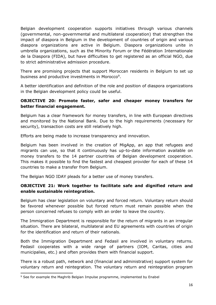Belgian development cooperation supports initiatives through various channels (governmental, non-governmental and multilateral cooperation) that strengthen the impact of diaspora in Belgium in the development of countries of origin and various diaspora organizations are active in Belgium. Diaspora organizations unite in umbrella organizations, such as the Minority Forum or the Fédération Internationale de la Diaspora (FIDA), but have difficulties to get registered as an official NGO, due to strict administrative admission procedure.

There are promising projects that support Moroccan residents in Belgium to set up business and productive investments in Morocco<sup>9</sup>.

A better identification and definition of the role and position of diaspora organizations in the Belgian development policy could be useful.

## **OBJECTIVE 20: Promote faster, safer and cheaper money transfers for better financial engagement.**

Belgium has a clear framework for money transfers, in line with European directives and monitored by the National Bank. Due to the high requirements (necessary for security), transaction costs are still relatively high.

Efforts are being made to increase transparency and innovation.

Belgium has been involved in the creation of MigApp, an app that refugees and migrants can use, so that it continuously has up-to-date information available on money transfers to the 14 partner countries of Belgian development cooperation. This makes it possible to find the fastest and cheapest provider for each of these 14 countries to make a transfer from Belgium.

The Belgian NGO IDAY pleads for a better use of money transfers.

## **OBJECTIVE 21: Work together to facilitate safe and dignified return and enable sustainable reintegration.**

Belgium has clear legislation on voluntary and forced return. Voluntary return should be favored whenever possible but forced return must remain possible when the person concerned refuses to comply with an order to leave the country.

The Immigration Department is responsible for the return of migrants in an irregular situation. There are bilateral, multilateral and EU agreements with countries of origin for the identification and return of their nationals.

Both the Immigration Department and Fedasil are involved in voluntary returns. Fedasil cooperates with a wide range of partners (IOM, Caritas, cities and municipalies, etc.) and often provides them with financial support.

There is a robust path, network and (financial and administrative) support system for voluntary return and reintegration. The voluntary return and reintegration program

<sup>&</sup>lt;sup>9</sup> See for example the Maghrib Belgian Impulse programme, implemented by Enabel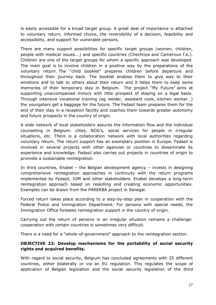is easily accessible for a broad target group. A great deal of importance is attached to voluntary return, informed choice, the reversibility of a decision, feasibility and accessibility, and support for vulnerable persons.

There are many support possibilities for specific target groups (women, children, people with medical issues...) and specific countries (Chechnya and Cameroun f.e.). Children are one of the target groups for whom a specific approach was developed. The main goal is to involve children in a positive way by the preparations of the voluntary return. The "child booklet" prepares children before departure and throughout their journey back. The booklet enables them to give way to their emotions and to talk to others about their return and it helps them to keep some memories of their temporary stay in Belgium. The project "My Future" aims at supporting unaccompanied minors with little prospect of staying on a legal basis. Through intensive vocational training (eg welder, assistant cook, kitchen worker…) the youngsters get a baggage for the future. The Fedasil team prepares them for the end of their stay in a reception facility and coaches them towards greater autonomy and future prospects in the country of origin.

A wide network of local stakeholders assures the information flow and the individual counselling in Belgium: cities, NOG's, social services for people in irregular situations, etc. There is a collaboration network with local authorities regarding voluntary return. The return support has an exemplary position in Europe. Fedasil is involved in several projects with other agencies or countries to disseminate its experience and knowledge. Fedasil also carries out projects in countries of origin to promote a sustainable reintegration.

In third countries, Enabel – the Belgian development agency – invests in designing comprehensive reintegration approaches in continuity with the return programs implemented by Fedasil, IOM and other stakeholders. Enabel develops a long-term reintegration approach based on reskilling and creating economic opportunities. Examples can be drawn from the PARERBA project in Senegal.

Forced return takes place according to a step-by-step plan in cooperation with the Federal Police and Immigration Department. For persons with special needs, the Immigration Office foresees reintegration support in the country of origin.

Carrying out the return of persons in an irregular situation remains a challenge: cooperation with certain countries is sometimes very difficult.

There is a need for a "whole-of-government" approach to the reintegration section.

### **OBJECTIVE 22: Develop mechanisms for the portability of social security rights and acquired benefits.**

With regard to social security, Belgium has concluded agreements with 25 different countries, either bilaterally or via an EU regulation. This regulates the scope of application of Belgian legislation and the social security legislation of the third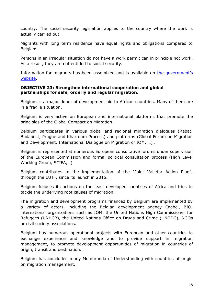country. The social security legislation applies to the country where the work is actually carried out.

Migrants with long term residence have equal rights and obligations compared to Belgians.

Persons in an irregular situation do not have a work permit can in principle not work. As a result, they are not entitled to social security.

Information for migrants has been assembled and is available on [the government](https://socialsecurity.be/CMS/en/coming_to_belgium/index.html)'s [website.](https://socialsecurity.be/CMS/en/coming_to_belgium/index.html)

#### **OBJECTIVE 23: Strengthen international cooperation and global partnerships for safe, orderly and regular migration.**

Belgium is a major donor of development aid to African countries. Many of them are in a fragile situation.

Belgium is very active on European and international platforms that promote the principles of the Global Compact on Migration.

Belgium participates in various global and regional migration dialogues (Rabat, Budapest, Prague and Khartoum Process) and platforms (Global Forum on Migration and Development, International Dialogue on Migration of IOM, …) .

Belgium is represented at numerous European consultative forums under supervision of the European Commission and formal political consultation process (High Level Working Group, SCIFA,…)

Belgium contributes to the implementation of the "Joint Valletta Action Plan", through the EUTF, since its launch in 2015.

Belgium focuses its actions on the least developed countries of Africa and tries to tackle the underlying root causes of migration.

The migration and development programs financed by Belgium are implemented by a variety of actors, including the Belgian development agency Enabel, BIO, international organizations such as IOM, the United Nations High Commissioner for Refugees (UNHCR), the United Nations Office on Drugs and Crime (UNODC), NGOs or civil society associations.

Belgium has numerous operational projects with European and other countries to exchange experience and knowledge and to provide support in migration management, to promote development opportunities of migration in countries of origin, transit and destination.

Belgium has concluded many Memoranda of Understanding with countries of origin on migration management.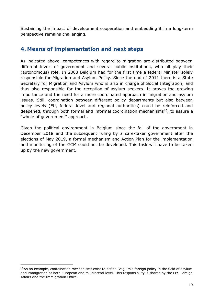Sustaining the impact of development cooperation and embedding it in a long-term perspective remains challenging.

## **4. Means of implementation and next steps**

As indicated above, competences with regard to migration are distributed between different levels of government and several public institutions, who all play their (autonomous) role. In 2008 Belgium had for the first time a federal Minister solely responsible for Migration and Asylum Policy. Since the end of 2011 there is a State Secretary for Migration and Asylum who is also in charge of Social Integration, and thus also responsible for the reception of asylum seekers. It proves the growing importance and the need for a more coordinated approach in migration and asylum issues. Still, coordination between different policy departments but also between policy levels (EU, federal level and regional authorities) could be reinforced and deepened, through both formal and informal coordination mechanisms<sup>10</sup>, to assure a "whole of government" approach.

Given the political environment in Belgium since the fall of the government in December 2018 and the subsequent ruling by a care-taker government after the elections of May 2019, a formal mechanism and Action Plan for the implementation and monitoring of the GCM could not be developed. This task will have to be taken up by the new government.

<sup>&</sup>lt;sup>10</sup> As an example, coordination mechanisms exist to define Belgium's foreign policy in the field of asylum and immigration at both European and multilateral level. This responsibility is shared by the FPS Foreign Affairs and the Immigration Office.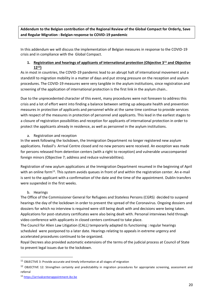**Addendum to the Belgian contribution of the Regional Review of the Global Compact for Orderly, Save and Regular Migration : Belgian response to COVID-19 pandemic** 

In this addendum we will discuss the implementation of Belgian measures in response to the COVID-19 crisis and in compliance with the Global Compact.

#### **1. Registration and hearings of applicants of international protection (Objective 3<sup>11</sup> and Objective 12<sup>12</sup>)**

As in most in countries, the COVID-19 pandemic lead to an abrupt halt of international movement and a standstill to migration mobility in a matter of days and put strong pressure on the reception and asylum procedures. The COVID-19 measures were very tangible in the asylum institutions, since registration and screening of the application of international protection is the first link in the asylum chain..

Due to the unprecedented character of this event, many procedures were not foreseen to address this crisis and a lot of effort went into finding a balance between setting up adequate health and prevention measures in protection of applicants and personnel while at the same time continue to provide services with respect of the measures in protection of personnel and applicants. This lead in the earliest stages to a closure of registration possibilities and reception for applicants of international protection in order to protect the applicants already in residence, as well as personnel in the asylum institutions.

#### a. Registration and reception

In the week following the lockdown, the Immigration Department no longer registered new asylum applications. Fedasil's Arrival Centre closed and no new persons were received. An exception was made for persons released from detention centers (with a right to reception) and vulnerable unaccompanied foreign minors (Objective 7; address and reduce vulnerabilities).

Registration of new asylum applications at the Immigration Department resumed in the beginning of April with an online form<sup>13</sup>. This system avoids queues in front of and within the registration center. An e-mail is sent to the applicant with a confirmation of the date and the time of the appointment. Dublin transfers were suspended in the first weeks.

#### b. Hearings

The Office of the Commissioner General for Refugees and Stateless Persons (CGRS) decided to suspend hearings the day of the lockdown in order to prevent the spread of the Coronavirus. Ongoing dossiers and dossiers for which no interview is required were still being dealt with and decisions were being taken. Applications for post-statutory certificates were also being dealt with. Personal interviews held through video conference with applicants in closed centers continued to take place.

The Council for Alien Law Litigation (CALL) temporarily adapted its functioning : regular hearings scheduled were postponed to a later date. Hearings relating to appeals in extreme urgency and accelerated procedures continued to be organized.

Royal Decrees also provided automatic extensions of the terms of the judicial process at Council of State to prevent legal issues due to the lockdown.

 $^{11}$  OBJECTIVE 3: Provide accurate and timely information at all stages of migration

<sup>&</sup>lt;sup>12</sup> OBJECTIVE 12: Strengthen certainty and predictability in migration procedures for appropriate screening, assessment and referral

<sup>13</sup> [https://arrivalcenterappointment.ibz.be](https://arrivalcenterappointment.ibz.be/)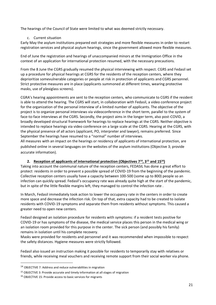The hearings of the Council of State were limited to what was deemed strictly necessary.

#### c. Current situation

Early May the asylum institutions prepared exit strategies and more flexible measures in order to restart registration services and physical asylum hearings, since the government allowed more flexible measures.

End of June the registration and hearings of unaccompanied minors at the Immigration Office in the context of an application for international protection resumed, with the necessary precautions.

From the 8 June the CGRS gradually resumed the physical interviewing with respect. CGRS and Fedasil set up a procedure for physical hearings at CGRS for the residents of the reception centers, where they deprioritize somevulnerable categories or people at risk in protection of applicants and CGRS personnel. Strict protective measures are in place (applicants summoned at different times, wearing protective masks, use of plexiglass screens).

CGRA's hearing appointments are sent to the reception centers, who communicate to CGRS if the resident is able to attend the hearing. The CGRS will start, in collaboration with Fedasil, a video conference project for the organization of the personal interview of a limited number of applicants. The objective of the project is to organize personal interviews via videoconference in the short term, parallel to the system of face-to-face interviews at the CGRS. Secondly, the project aims in the longer term, also post-COVID, a broadly developed structural framework for hearings to replace hearings at the CGRS. Neither objective is intended to replace hearings via video conference on a large scale at the CGRS. Hearing at the CGRS, with the physical presence of all actors (applicant, PO, interpreter and lawyer), remains preferred. Since September the hearings have resumed to a "normal" number of interviews.

All measures with an impact on the hearings or residency of applicants of international protection, are published online in several languages on the websites of the asylum institutions (Objective 3; provide accurate information).

#### **2. Reception of applicants of international protection (Objectives 7<sup>14</sup>, 3<sup>15</sup> and 15<sup>16</sup>)**

Taking into account the communal nature of the reception centers, FEDASIL has done a great effort to protect residents in order to prevent a possible spread of COVID-19 from the beginning of the pandemic. Collective reception centers usually have a capacity between 100-500 (some up to 800) people so an infection can quickly spread. Fedasil's occupancy rate was already quite high at the start of the pandemic, but in spite of the little flexible margins left, they managed to control the infection rate .

In March, Fedasil immediately took action to lower the occupancy rate in the centers in order to create more space and decrease the infection risk. On top of that, extra capacity had to be created to isolate residents with COVID-19 symptoms and separate them from residents without symptoms. This caused a greater need to open new centers.

Fedasil designed an isolation procedure for residents with symptoms: if a resident tests positive for COVID-19 or has symptoms of the disease, the medical service places this person in the medical wing or an isolation room provided for this purpose in the center. The sick person (and possibly his family) remains in isolation until his complete recovery.

Masks were provided for residents and personnel and it was recommended when impossible to respect the safety distances. Hygiene measures were strictly followed.

Fedasil also issued an instruction making it possible for residents to temporarily stay with relatives or friends, while receiving meal vouchers and receiving remote support from their social worker via phone.

<sup>14</sup> OBJECTIVE 7: Address and reduce vulnerabilities in migration

<sup>15</sup> OBJECTIVE 3: Provide accurate and timely information at all stages of migration

<sup>16</sup> OBJECTIVE 15: Provide access to basic services for migrants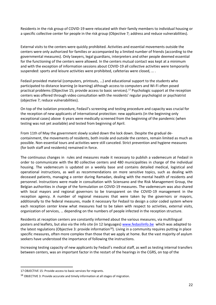Residents in the risk group of COVID-19 were relocated with their family members to individual housing or a specific collective center for people in the risk group (Objective 7; address and reduce vulnerabilities).

External visits to the centers were quickly prohibited. Activities and essential movements outside the centers were only authorized for families or accompanied by a limited number of friends (according to the governmental measures). Only lawyers, legal guardians, interpreters and other people deemed essential for the functioning of the centers were allowed. In the centers mutual contact was kept at a minimum and with the exception of information sessions about COVID-19 all collective activities were temporarily suspended: sports and leisure activities were prohibited, cafeterias were closed, … .

Fedasil provided material (computers, printouts, …) and educational support to the students who participated to distance learning (e-learning) although access to computers and Wi-Fi often posed practical problems (Objective 15; provide access to basic services). <sup>17</sup> Psychologic support at the reception centers was offered through video consultation with the residents' regular psychologist or psychiatrist (objective 7; reduce vulnerabilities).

On top of the isolation procedure, Fedasil's screening and testing procedure and capacity was crucial for the reception of new applicants of international protection: new applicants (in the beginning only exceptional cases) above 6 years were medically screened from the beginning of the pandemic (when testing was not yet available) and tested from beginning of April.

From 11th of May the government slowly scaled down the lock down. Despite the gradual decontainment, the movements of residents, both inside and outside the centers, remain limited as much as possible. Non-essential tours and activities were still canceled. Strict prevention and hygiene measures (for both staff and residents) remained in force.

The continuous changes in rules and measures made it necessary to publish a vademecum at Fedasil in order to communicate with the 80 collective centers and 480 municipalities in charge of the individual housing. The vademecum is updated on a weekly base and contains detailed medical, logistical and operational instructions, as well as recommendations on more sensitive topics, such as dealing with deceased patients, managing a center during Ramadan, dealing with the mental health of residents and personnel. Instructions were made in consultation with Sciensano and the Risk Management Group, the Belgian authorities in charge of the formulation on COVID-19 measures. The vademecum was also shared with local mayors and regional governors to be transparent on the COVID-19 management in the reception agency. A number of regional measures that were taken by the governors or mayors, additionally to the federal measures, made it necessary for Fedasil to design a color coded system where each reception center knew what measures had to be taken with respect to activities, external visits, organization of services, … depending on the numbers of people infected in the reception structure.

Residents at reception centers are constantly informed about the various measures, via multilingual posters and leaflets, but also via the info site (in 12 languages) [www.fedasilinfo.be](http://www.fedasilinfo.be/) which was adapted to the latest regulations (Objective 3: provide information<sup>18</sup>). Living in a community requires putting in place specific measures, often more complex than those that we apply at home. But the vast majority of asylum seekers have understood the importance of following the instructions.

Increasing testing capacity of new applicants by Fedasil's medical staff, as well as testing internal transfers between centers, was an important factor in the restart of the hearings in the CGRS, on top of the

<sup>17</sup> OBJECTIVE 15: Provide access to basic services for migrants.

<sup>18</sup> OBJECTIVE 3: Provide accurate and timely information at all stages of migration.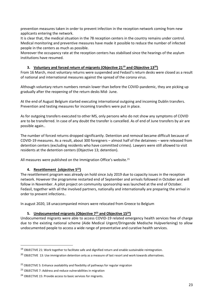prevention measures taken in order to prevent infection in the reception network coming from new applicants entering the network.

It is clear that, the medical situation in the 78 reception centers in the country remains under control. Medical monitoring and preventive measures have made it possible to reduce the number of infected people in the centers as much as possible.

Moreover the occupancy rate at the reception centers has stabilised since the hearings of the asylum institutions have resumed.

#### **3. Voluntary and forced return of migrants (Objective 21<sup>19</sup> and Objective 13<sup>20</sup>)**

From 16 March, most voluntary returns were suspended and Fedasil's return desks were closed as a result of national and international measures against the spread of the corona virus.

Although voluntary return numbers remain lower than before the COVID-pandemic, they are picking up gradually after the reopening of the return desks Mid- June.

At the end of August Belgium started executing international outgoing and incoming Dublin transfers. Prevention and testing measures for incoming transfers were put in place.

As for outgoing transfers executed to other MS, only persons who do not show any symptoms of COVID are to be transferred. In case of any doubt the transfer is cancelled. As of end of June transfers by air are possible again..

The number of forced returns dropped significantly. Detention and removal became difficult because of COVID-19 measures. As a result, about 300 foreigners – almost half of the detainees – were released from detention centers (excluding residents who have committed crimes). Lawyers were still allowed to visit residents at the detention centers (Objective 13; detention).

All measures were published on the Immigration Office's website.<sup>21</sup>

#### **4. Resettlement (objective 5<sup>22</sup>)**

The resettlement program was already on hold since July 2019 due to capacity issues in the reception network. However the programme restarted end of September and arrivals followed in October and will follow in November. A pilot project on community sponsorship was launched at the end of October. Fedasil, together with all the involved partners, nationally and internationally are preparing the arrival in order to prevent infections..

In august 2020, 18 unaccompanied minors were relocated from Greece to Belgium

#### **5. Undocumented migrants (Objective 7<sup>23</sup> and Objective 15<sup>24</sup>)**

Undocumented migrants were able to access COVID-19 related emergency health services free of charge due to the existing national scheme (Aide Medical Urgent/Dringende Medische Hulpverlening) to allow undocumented people to access a wide range of preventative and curative health services.

<sup>&</sup>lt;sup>19</sup> OBJECTIVE 21: Work together to facilitate safe and dignified return and enable sustainable reintegration.

<sup>&</sup>lt;sup>20</sup> OBJECTIVE 13: Use immigration detention only as a measure of last resort and work towards alternatives.

<sup>&</sup>lt;sup>22</sup> OBJECTIVE 5: Enhance availability and flexibility of pathways for regular migration

<sup>&</sup>lt;sup>23</sup> OBJECTIVE 7: Address and reduce vulnerabilities in migration

<sup>24</sup> OBJECTIVE 15: Provide access to basic services for migrants.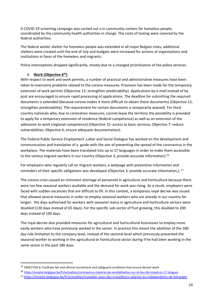A COVID-19 screening campaign was carried out a in community centers for homeless people, coordinated by the community health authorities in charge. The costs of testing were covered by the federal authorities.

The federal winter shelter for homeless people was extended in all major Belgian cities, additional shelters were created until the end of July and budgets were increased for actions of organizations and institutions in favor of the homeless and migrants.

Police interceptions dropped significantly, mostly due to a changed prioritization of the police services.

#### 6. **Work (Objective 6 25)**

With respect to work and work permits, a number of practical and administrative measures have been taken to overcome problems related to the corona measures. Provision has been made for the temporary extension of work permits (Objective 12; strengthen predictability). Applications by e-mail instead of by post are encouraged to ensure rapid processing of applications. The deadline for submitting the required documents is extended (because corona makes it more difficult to obtain these documents) (Objective 12; strengthen predictability). The requirement for certain documents is temporarily waived). For third country nationals who, due to coronation measures, cannot leave the territory the possibility is provided to apply for a temporary extension of residence (federal competence) as well as an extension of the admission to work (regional competence) (Objective 15: access to basic services; Objective 7: reduce vulnerabilities; Objective 4; ensure adequate documentation).

The Federal Public Service Employment ,Labor and Social Dialogue has worked on the development and communication and translation of a guide with the aim of preventing the spread of the coronavirus in the workplace. The materials have been translated into up to 17 languages in order to make them accessible to the various migrant workers in our country (Objective 3; provide accurate information).<sup>26</sup>

For employers who regularly call on migrant workers, a webpage with preventive information and reminders of their specific obligations was developed (Objective 3; provide accurate information,). <sup>27</sup>

The corona crisis caused an imminent shortage of personnel in agriculture and horticulture because there were too few seasonal workers available and the demand for work was rising. As a result, employers were faced with sudden vacancies that are difficult to fill. In this context, a temporary royal decree was issued that allowed several measures in order to employ seasonal workers who are already in our country for longer: the days authorized for workers with seasonal status in agriculture and horticulture sectors were doubled (130 days instead of 65 days). For the specific sub-sector of fruit growing, this doubled to 200 days instead of 100 days.

The royal decree also provided measures for agricultural and horticultural businesses to employ more easily workers who have previously worked in the sector. In practice this meant the abolition of the 180 day rule limitation to the company level, instead of the sectoral level which previously prevented the seasonal worker to working in the agricultural or horticultural sector during if he had been working in the same sector in the past 180 days.

<sup>26</sup> <https://emploi.belgique.be/fr/actualites/coronavirus-materiel-de-sensibilisation-sur-le-lieu-de-travail-en-17-langues>

<sup>&</sup>lt;sup>25</sup> OBJECTIVE 6: Facilitate fair and ethical recruitment and safeguard conditions that ensure decent work

<sup>27</sup> <https://emploi.belgique.be/fr/actualites/travailler-avec-des-travailleurs-salaries-ou-independants-de-letranger>